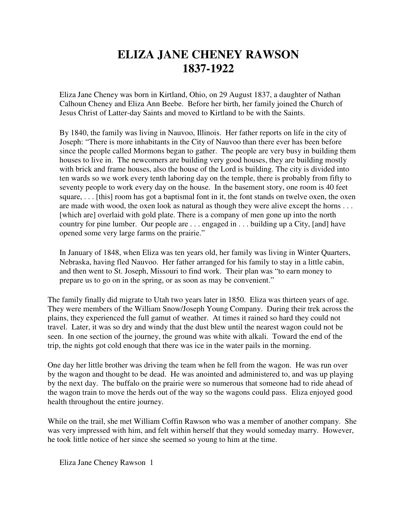## **ELIZA JANE CHENEY RAWSON 1837-1922**

Eliza Jane Cheney was born in Kirtland, Ohio, on 29 August 1837, a daughter of Nathan Calhoun Cheney and Eliza Ann Beebe. Before her birth, her family joined the Church of Jesus Christ of Latter-day Saints and moved to Kirtland to be with the Saints.

By 1840, the family was living in Nauvoo, Illinois. Her father reports on life in the city of Joseph: "There is more inhabitants in the City of Nauvoo than there ever has been before since the people called Mormons began to gather. The people are very busy in building them houses to live in. The newcomers are building very good houses, they are building mostly with brick and frame houses, also the house of the Lord is building. The city is divided into ten wards so we work every tenth laboring day on the temple, there is probably from fifty to seventy people to work every day on the house. In the basement story, one room is 40 feet square, ... [this] room has got a baptismal font in it, the font stands on twelve oxen, the oxen are made with wood, the oxen look as natural as though they were alive except the horns . . . [which are] overlaid with gold plate. There is a company of men gone up into the north country for pine lumber. Our people are . . . engaged in . . . building up a City, [and] have opened some very large farms on the prairie."

In January of 1848, when Eliza was ten years old, her family was living in Winter Quarters, Nebraska, having fled Nauvoo. Her father arranged for his family to stay in a little cabin, and then went to St. Joseph, Missouri to find work. Their plan was "to earn money to prepare us to go on in the spring, or as soon as may be convenient."

The family finally did migrate to Utah two years later in 1850. Eliza was thirteen years of age. They were members of the William Snow/Joseph Young Company. During their trek across the plains, they experienced the full gamut of weather. At times it rained so hard they could not travel. Later, it was so dry and windy that the dust blew until the nearest wagon could not be seen. In one section of the journey, the ground was white with alkali. Toward the end of the trip, the nights got cold enough that there was ice in the water pails in the morning.

One day her little brother was driving the team when he fell from the wagon. He was run over by the wagon and thought to be dead. He was anointed and administered to, and was up playing by the next day. The buffalo on the prairie were so numerous that someone had to ride ahead of the wagon train to move the herds out of the way so the wagons could pass. Eliza enjoyed good health throughout the entire journey.

While on the trail, she met William Coffin Rawson who was a member of another company. She was very impressed with him, and felt within herself that they would someday marry. However, he took little notice of her since she seemed so young to him at the time.

Eliza Jane Cheney Rawson 1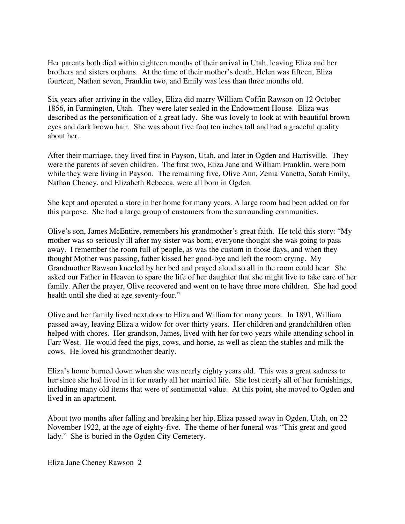Her parents both died within eighteen months of their arrival in Utah, leaving Eliza and her brothers and sisters orphans. At the time of their mother's death, Helen was fifteen, Eliza fourteen, Nathan seven, Franklin two, and Emily was less than three months old.

Six years after arriving in the valley, Eliza did marry William Coffin Rawson on 12 October 1856, in Farmington, Utah. They were later sealed in the Endowment House. Eliza was described as the personification of a great lady. She was lovely to look at with beautiful brown eyes and dark brown hair. She was about five foot ten inches tall and had a graceful quality about her.

After their marriage, they lived first in Payson, Utah, and later in Ogden and Harrisville. They were the parents of seven children. The first two, Eliza Jane and William Franklin, were born while they were living in Payson. The remaining five, Olive Ann, Zenia Vanetta, Sarah Emily, Nathan Cheney, and Elizabeth Rebecca, were all born in Ogden.

She kept and operated a store in her home for many years. A large room had been added on for this purpose. She had a large group of customers from the surrounding communities.

Olive's son, James McEntire, remembers his grandmother's great faith. He told this story: "My mother was so seriously ill after my sister was born; everyone thought she was going to pass away. I remember the room full of people, as was the custom in those days, and when they thought Mother was passing, father kissed her good-bye and left the room crying. My Grandmother Rawson kneeled by her bed and prayed aloud so all in the room could hear. She asked our Father in Heaven to spare the life of her daughter that she might live to take care of her family. After the prayer, Olive recovered and went on to have three more children. She had good health until she died at age seventy-four."

Olive and her family lived next door to Eliza and William for many years. In 1891, William passed away, leaving Eliza a widow for over thirty years. Her children and grandchildren often helped with chores. Her grandson, James, lived with her for two years while attending school in Farr West. He would feed the pigs, cows, and horse, as well as clean the stables and milk the cows. He loved his grandmother dearly.

Eliza's home burned down when she was nearly eighty years old. This was a great sadness to her since she had lived in it for nearly all her married life. She lost nearly all of her furnishings, including many old items that were of sentimental value. At this point, she moved to Ogden and lived in an apartment.

About two months after falling and breaking her hip, Eliza passed away in Ogden, Utah, on 22 November 1922, at the age of eighty-five. The theme of her funeral was "This great and good lady." She is buried in the Ogden City Cemetery.

Eliza Jane Cheney Rawson 2